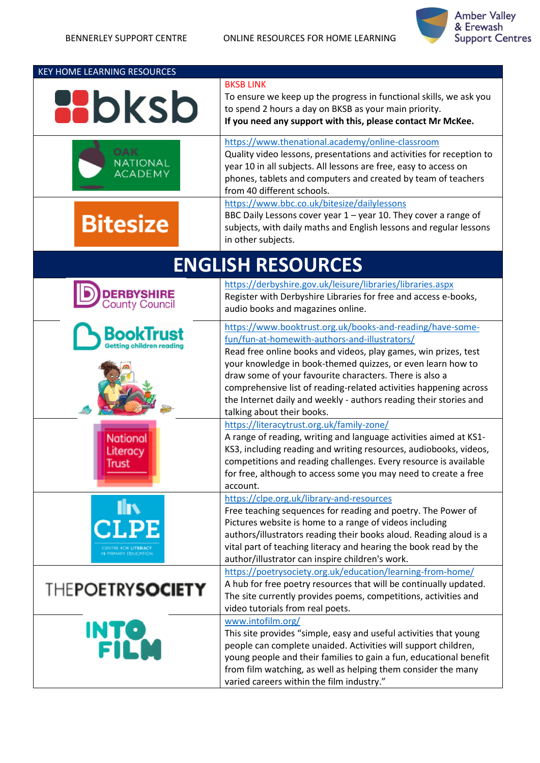

| <b>KEY HOME LEARNING RESOURCES</b>             |                                                                                                                                                                                                                                                                                                                                                                                                                                                   |
|------------------------------------------------|---------------------------------------------------------------------------------------------------------------------------------------------------------------------------------------------------------------------------------------------------------------------------------------------------------------------------------------------------------------------------------------------------------------------------------------------------|
| <b>AD</b> ksb                                  | <b>BKSB LINK</b><br>To ensure we keep up the progress in functional skills, we ask you<br>to spend 2 hours a day on BKSB as your main priority.<br>If you need any support with this, please contact Mr McKee.                                                                                                                                                                                                                                    |
| NATIONAL<br><b>ACADEMY</b>                     | https://www.thenational.academy/online-classroom<br>Quality video lessons, presentations and activities for reception to<br>year 10 in all subjects. All lessons are free, easy to access on<br>phones, tablets and computers and created by team of teachers<br>from 40 different schools.                                                                                                                                                       |
| <b>Bitesize</b>                                | https://www.bbc.co.uk/bitesize/dailylessons<br>BBC Daily Lessons cover year $1$ – year 10. They cover a range of<br>subjects, with daily maths and English lessons and regular lessons<br>in other subjects.                                                                                                                                                                                                                                      |
|                                                | <b>ENGLISH RESOURCES</b>                                                                                                                                                                                                                                                                                                                                                                                                                          |
| <b>DERBYSHIRE</b><br>County Council            | https://derbyshire.gov.uk/leisure/libraries/libraries.aspx<br>Register with Derbyshire Libraries for free and access e-books,<br>audio books and magazines online.                                                                                                                                                                                                                                                                                |
| BookTrust                                      | https://www.booktrust.org.uk/books-and-reading/have-some-<br>fun/fun-at-homewith-authors-and-illustrators/<br>Read free online books and videos, play games, win prizes, test<br>your knowledge in book-themed quizzes, or even learn how to<br>draw some of your favourite characters. There is also a<br>comprehensive list of reading-related activities happening across<br>the Internet daily and weekly - authors reading their stories and |
| <b>National</b><br>Literacy<br><b>Trust</b>    | talking about their books.<br>https://literacytrust.org.uk/family-zone/<br>A range of reading, writing and language activities aimed at KS1-<br>KS3, including reading and writing resources, audiobooks, videos,<br>competitions and reading challenges. Every resource is available<br>for free, although to access some you may need to create a free<br>account.                                                                              |
| <b>IIV</b><br>.PE<br><b>N PRIMARY FOUCATIO</b> | https://clpe.org.uk/library-and-resources<br>Free teaching sequences for reading and poetry. The Power of<br>Pictures website is home to a range of videos including<br>authors/illustrators reading their books aloud. Reading aloud is a<br>vital part of teaching literacy and hearing the book read by the<br>author/illustrator can inspire children's work.                                                                                 |
| <b>THEPOETRYSOCIETY</b>                        | https://poetrysociety.org.uk/education/learning-from-home/<br>A hub for free poetry resources that will be continually updated.<br>The site currently provides poems, competitions, activities and<br>video tutorials from real poets.                                                                                                                                                                                                            |
| <b>INTO<br/>FILM</b>                           | www.intofilm.org/<br>This site provides "simple, easy and useful activities that young<br>people can complete unaided. Activities will support children,<br>young people and their families to gain a fun, educational benefit<br>from film watching, as well as helping them consider the many<br>varied careers within the film industry."                                                                                                      |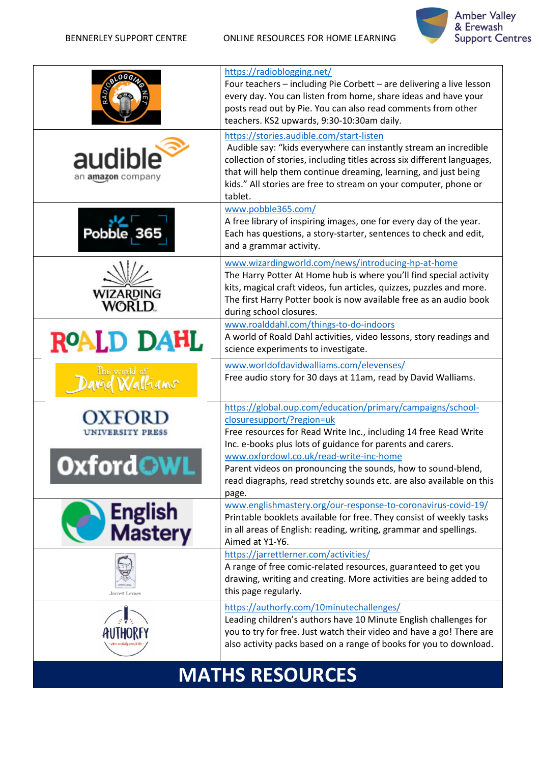BENNERLEY SUPPORT CENTRE ONLINE RESOURCES FOR HOME LEARNING



|                                   | https://radioblogging.net/<br>Four teachers - including Pie Corbett - are delivering a live lesson<br>every day. You can listen from home, share ideas and have your<br>posts read out by Pie. You can also read comments from other<br>teachers. KS2 upwards, 9:30-10:30am daily.                                                        |
|-----------------------------------|-------------------------------------------------------------------------------------------------------------------------------------------------------------------------------------------------------------------------------------------------------------------------------------------------------------------------------------------|
| audible<br>an amazon company      | https://stories.audible.com/start-listen<br>Audible say: "kids everywhere can instantly stream an incredible<br>collection of stories, including titles across six different languages,<br>that will help them continue dreaming, learning, and just being<br>kids." All stories are free to stream on your computer, phone or<br>tablet. |
| Pobble, 365                       | www.pobble365.com/<br>A free library of inspiring images, one for every day of the year.<br>Each has questions, a story-starter, sentences to check and edit,<br>and a grammar activity.                                                                                                                                                  |
| <b>WIZARDING</b><br><b>WORLD.</b> | www.wizardingworld.com/news/introducing-hp-at-home<br>The Harry Potter At Home hub is where you'll find special activity<br>kits, magical craft videos, fun articles, quizzes, puzzles and more.<br>The first Harry Potter book is now available free as an audio book<br>during school closures.                                         |
| ROALD DAHL                        | www.roalddahl.com/things-to-do-indoors<br>A world of Roald Dahl activities, video lessons, story readings and<br>science experiments to investigate.                                                                                                                                                                                      |
| The world of<br>avid Walliams     | www.worldofdavidwalliams.com/elevenses/<br>Free audio story for 30 days at 11am, read by David Walliams.                                                                                                                                                                                                                                  |
| UNIVERSITY PRESS                  | https://global.oup.com/education/primary/campaigns/school-<br>closuresupport/?region=uk<br>Free resources for Read Write Inc., including 14 free Read Write<br>Inc. e-books plus lots of guidance for parents and carers.                                                                                                                 |
|                                   | www.oxfordowl.co.uk/read-write-inc-home<br>Parent videos on pronouncing the sounds, how to sound-blend,<br>read diagraphs, read stretchy sounds etc. are also available on this<br>page.                                                                                                                                                  |
| English<br>Mastery                | www.englishmastery.org/our-response-to-coronavirus-covid-19/<br>Printable booklets available for free. They consist of weekly tasks<br>in all areas of English: reading, writing, grammar and spellings.<br>Aimed at Y1-Y6.                                                                                                               |
| Jarrett Lerner                    | https://jarrettlerner.com/activities/<br>A range of free comic-related resources, guaranteed to get you<br>drawing, writing and creating. More activities are being added to<br>this page regularly.                                                                                                                                      |
|                                   | https://authorfy.com/10minutechallenges/<br>Leading children's authors have 10 Minute English challenges for<br>you to try for free. Just watch their video and have a go! There are<br>also activity packs based on a range of books for you to download.                                                                                |

## **MATHS RESOURCES**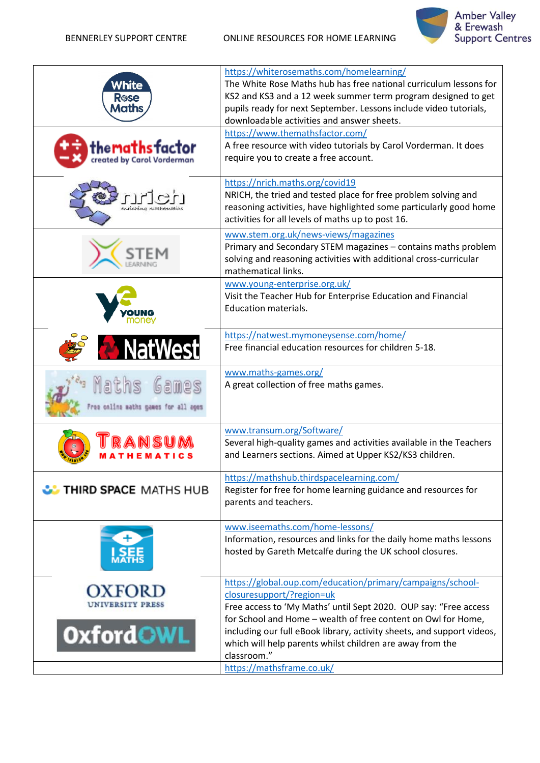BENNERLEY SUPPORT CENTRE ONLINE RESOURCES FOR HOME LEARNING



| White<br><b>R</b> ose<br>Maths<br>hemaths factor:<br>created by Carol Vorderman | https://whiterosemaths.com/homelearning/<br>The White Rose Maths hub has free national curriculum lessons for<br>KS2 and KS3 and a 12 week summer term program designed to get<br>pupils ready for next September. Lessons include video tutorials,<br>downloadable activities and answer sheets.<br>https://www.themathsfactor.com/<br>A free resource with video tutorials by Carol Vorderman. It does<br>require you to create a free account. |
|---------------------------------------------------------------------------------|---------------------------------------------------------------------------------------------------------------------------------------------------------------------------------------------------------------------------------------------------------------------------------------------------------------------------------------------------------------------------------------------------------------------------------------------------|
|                                                                                 | https://nrich.maths.org/covid19<br>NRICH, the tried and tested place for free problem solving and<br>reasoning activities, have highlighted some particularly good home<br>activities for all levels of maths up to post 16.                                                                                                                                                                                                                      |
|                                                                                 | www.stem.org.uk/news-views/magazines<br>Primary and Secondary STEM magazines - contains maths problem<br>solving and reasoning activities with additional cross-curricular<br>mathematical links.<br>www.young-enterprise.org.uk/                                                                                                                                                                                                                 |
|                                                                                 | Visit the Teacher Hub for Enterprise Education and Financial<br><b>Education materials.</b>                                                                                                                                                                                                                                                                                                                                                       |
|                                                                                 | https://natwest.mymoneysense.com/home/<br>Free financial education resources for children 5-18.                                                                                                                                                                                                                                                                                                                                                   |
| Games<br>aths<br>ree online maths games for all ages                            | www.maths-games.org/<br>A great collection of free maths games.                                                                                                                                                                                                                                                                                                                                                                                   |
|                                                                                 | www.transum.org/Software/<br>Several high-quality games and activities available in the Teachers<br>and Learners sections. Aimed at Upper KS2/KS3 children.                                                                                                                                                                                                                                                                                       |
| <b>UD</b> THIRD SPACE MATHS HUB                                                 | https://mathshub.thirdspacelearning.com/<br>Register for free for home learning guidance and resources for<br>parents and teachers.                                                                                                                                                                                                                                                                                                               |
|                                                                                 | www.iseemaths.com/home-lessons/<br>Information, resources and links for the daily home maths lessons<br>hosted by Gareth Metcalfe during the UK school closures.                                                                                                                                                                                                                                                                                  |
| <b>OxfordOWL</b>                                                                | https://global.oup.com/education/primary/campaigns/school-<br>closuresupport/?region=uk<br>Free access to 'My Maths' until Sept 2020. OUP say: "Free access<br>for School and Home - wealth of free content on Owl for Home,<br>including our full eBook library, activity sheets, and support videos,<br>which will help parents whilst children are away from the<br>classroom."                                                                |
|                                                                                 | https://mathsframe.co.uk/                                                                                                                                                                                                                                                                                                                                                                                                                         |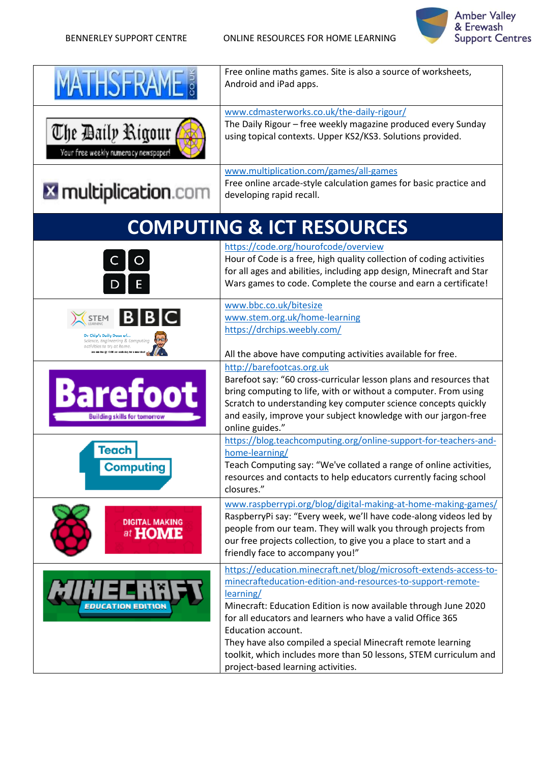

| <b>THSFRA</b>                                                                       | Free online maths games. Site is also a source of worksheets,<br>Android and iPad apps.                                                                                                                                                                                                                                                                                                                                                                                                                                                               |
|-------------------------------------------------------------------------------------|-------------------------------------------------------------------------------------------------------------------------------------------------------------------------------------------------------------------------------------------------------------------------------------------------------------------------------------------------------------------------------------------------------------------------------------------------------------------------------------------------------------------------------------------------------|
| The Daily Rigour<br>Your free weekly numeracy newspaper!                            | www.cdmasterworks.co.uk/the-daily-rigour/<br>The Daily Rigour - free weekly magazine produced every Sunday<br>using topical contexts. Upper KS2/KS3. Solutions provided.                                                                                                                                                                                                                                                                                                                                                                              |
| <b>X</b> multiplication.com                                                         | www.multiplication.com/games/all-games<br>Free online arcade-style calculation games for basic practice and<br>developing rapid recall.                                                                                                                                                                                                                                                                                                                                                                                                               |
|                                                                                     | <b>COMPUTING &amp; ICT RESOURCES</b>                                                                                                                                                                                                                                                                                                                                                                                                                                                                                                                  |
| O                                                                                   | https://code.org/hourofcode/overview<br>Hour of Code is a free, high quality collection of coding activities<br>for all ages and abilities, including app design, Minecraft and Star<br>Wars games to code. Complete the course and earn a certificate!                                                                                                                                                                                                                                                                                               |
| TEM<br>Dr Chip's Daily Dose of<br>re, Engineering & Computing<br>o try at home      | www.bbc.co.uk/bitesize<br>www.stem.org.uk/home-learning<br>https://drchips.weebly.com/                                                                                                                                                                                                                                                                                                                                                                                                                                                                |
| <b>Barefoot</b><br><b>Building skills for tomorrow</b><br>Teach<br><b>Computing</b> | All the above have computing activities available for free.<br>http://barefootcas.org.uk<br>Barefoot say: "60 cross-curricular lesson plans and resources that<br>bring computing to life, with or without a computer. From using<br>Scratch to understanding key computer science concepts quickly<br>and easily, improve your subject knowledge with our jargon-free<br>online guides."<br>https://blog.teachcomputing.org/online-support-for-teachers-and-<br>home-learning/<br>Teach Computing say: "We've collated a range of online activities, |
| <b>DIGITAL MAKING</b><br>at <b>HOME</b>                                             | resources and contacts to help educators currently facing school<br>closures."<br>www.raspberrypi.org/blog/digital-making-at-home-making-games/<br>RaspberryPi say: "Every week, we'll have code-along videos led by<br>people from our team. They will walk you through projects from<br>our free projects collection, to give you a place to start and a<br>friendly face to accompany you!"                                                                                                                                                        |
| <b>ION EDITION</b>                                                                  | https://education.minecraft.net/blog/microsoft-extends-access-to-<br>minecrafteducation-edition-and-resources-to-support-remote-<br>learning/<br>Minecraft: Education Edition is now available through June 2020<br>for all educators and learners who have a valid Office 365<br><b>Education account.</b><br>They have also compiled a special Minecraft remote learning<br>toolkit, which includes more than 50 lessons, STEM curriculum and<br>project-based learning activities.                                                                 |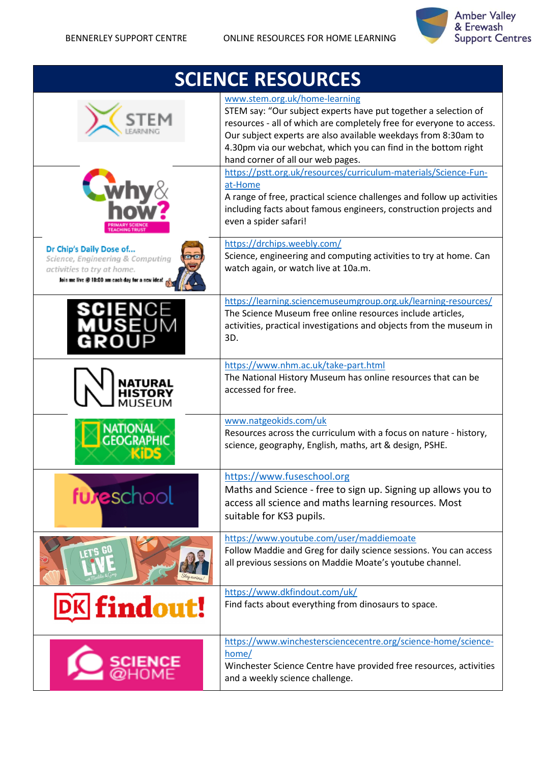

| <b>SCIENCE RESOURCES</b>                                                                                                                     |                                                                                                                                                                                                                                                                                                                                                   |
|----------------------------------------------------------------------------------------------------------------------------------------------|---------------------------------------------------------------------------------------------------------------------------------------------------------------------------------------------------------------------------------------------------------------------------------------------------------------------------------------------------|
|                                                                                                                                              | www.stem.org.uk/home-learning<br>STEM say: "Our subject experts have put together a selection of<br>resources - all of which are completely free for everyone to access.<br>Our subject experts are also available weekdays from 8:30am to<br>4.30pm via our webchat, which you can find in the bottom right<br>hand corner of all our web pages. |
|                                                                                                                                              | https://pstt.org.uk/resources/curriculum-materials/Science-Fun-<br>at-Home<br>A range of free, practical science challenges and follow up activities<br>including facts about famous engineers, construction projects and<br>even a spider safari!                                                                                                |
| Dr Chip's Daily Dose of<br>Science, Engineering & Computing<br>activities to try at home.<br>Join me live @ 10:00 am each day for a new idea | https://drchips.weebly.com/<br>Science, engineering and computing activities to try at home. Can<br>watch again, or watch live at 10a.m.                                                                                                                                                                                                          |
|                                                                                                                                              | https://learning.sciencemuseumgroup.org.uk/learning-resources/<br>The Science Museum free online resources include articles,<br>activities, practical investigations and objects from the museum in<br>3D.                                                                                                                                        |
|                                                                                                                                              | https://www.nhm.ac.uk/take-part.html<br>The National History Museum has online resources that can be<br>accessed for free.                                                                                                                                                                                                                        |
| NATION 4                                                                                                                                     | www.natgeokids.com/uk<br>Resources across the curriculum with a focus on nature - history,<br>science, geography, English, maths, art & design, PSHE.                                                                                                                                                                                             |
| ful eschool                                                                                                                                  | https://www.fuseschool.org<br>Maths and Science - free to sign up. Signing up allows you to<br>access all science and maths learning resources. Most<br>suitable for KS3 pupils.                                                                                                                                                                  |
|                                                                                                                                              | https://www.youtube.com/user/maddiemoate<br>Follow Maddie and Greg for daily science sessions. You can access<br>all previous sessions on Maddie Moate's youtube channel.                                                                                                                                                                         |
| <b>DK</b> findout!                                                                                                                           | https://www.dkfindout.com/uk/<br>Find facts about everything from dinosaurs to space.                                                                                                                                                                                                                                                             |
|                                                                                                                                              | https://www.winchestersciencecentre.org/science-home/science-<br>home/<br>Winchester Science Centre have provided free resources, activities<br>and a weekly science challenge.                                                                                                                                                                   |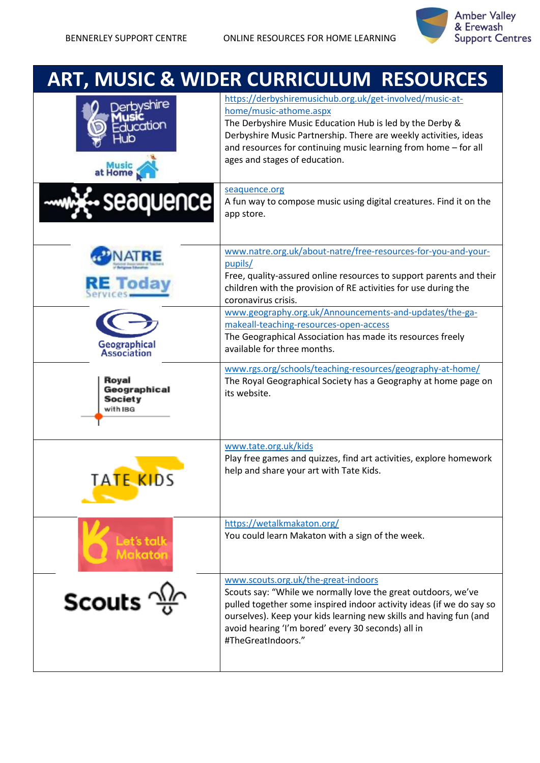

## **ART, MUSIC & WIDER CURRICULUM RESOURCES**

| <i>r</i> shire<br>ation                             | https://derbyshiremusichub.org.uk/get-involved/music-at-<br>home/music-athome.aspx<br>The Derbyshire Music Education Hub is led by the Derby &<br>Derbyshire Music Partnership. There are weekly activities, ideas<br>and resources for continuing music learning from home - for all<br>ages and stages of education.         |
|-----------------------------------------------------|--------------------------------------------------------------------------------------------------------------------------------------------------------------------------------------------------------------------------------------------------------------------------------------------------------------------------------|
| aquence                                             | seaquence.org<br>A fun way to compose music using digital creatures. Find it on the<br>app store.                                                                                                                                                                                                                              |
|                                                     | www.natre.org.uk/about-natre/free-resources-for-you-and-your-<br>pupils/<br>Free, quality-assured online resources to support parents and their<br>children with the provision of RE activities for use during the<br>coronavirus crisis.                                                                                      |
| Geographical<br>Association                         | www.geography.org.uk/Announcements-and-updates/the-ga-<br>makeall-teaching-resources-open-access<br>The Geographical Association has made its resources freely<br>available for three months.                                                                                                                                  |
| Royal<br>Geographical<br><b>Society</b><br>with IBG | www.rgs.org/schools/teaching-resources/geography-at-home/<br>The Royal Geographical Society has a Geography at home page on<br>its website.                                                                                                                                                                                    |
| TATE KIDS                                           | www.tate.org.uk/kids<br>Play free games and quizzes, find art activities, explore homework<br>help and share your art with Tate Kids.                                                                                                                                                                                          |
| Let's talk<br>akator                                | https://wetalkmakaton.org/<br>You could learn Makaton with a sign of the week.                                                                                                                                                                                                                                                 |
| Scouts <sup></sup>                                  | www.scouts.org.uk/the-great-indoors<br>Scouts say: "While we normally love the great outdoors, we've<br>pulled together some inspired indoor activity ideas (if we do say so<br>ourselves). Keep your kids learning new skills and having fun (and<br>avoid hearing 'I'm bored' every 30 seconds) all in<br>#TheGreatIndoors." |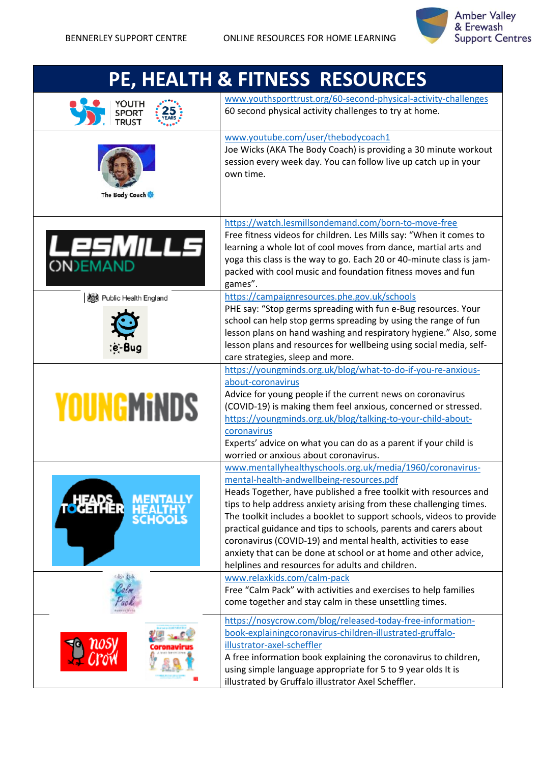

| PE, HEALTH & FITNESS RESOURCES          |                                                                                                                                                                                                                                                                                                                                                                                                                                                                                                                                                                                                                                                                                                                                                |
|-----------------------------------------|------------------------------------------------------------------------------------------------------------------------------------------------------------------------------------------------------------------------------------------------------------------------------------------------------------------------------------------------------------------------------------------------------------------------------------------------------------------------------------------------------------------------------------------------------------------------------------------------------------------------------------------------------------------------------------------------------------------------------------------------|
|                                         | www.youthsporttrust.org/60-second-physical-activity-challenges<br>60 second physical activity challenges to try at home.                                                                                                                                                                                                                                                                                                                                                                                                                                                                                                                                                                                                                       |
| The Body Coach                          | www.youtube.com/user/thebodycoach1<br>Joe Wicks (AKA The Body Coach) is providing a 30 minute workout<br>session every week day. You can follow live up catch up in your<br>own time.                                                                                                                                                                                                                                                                                                                                                                                                                                                                                                                                                          |
| LESMILLS                                | https://watch.lesmillsondemand.com/born-to-move-free<br>Free fitness videos for children. Les Mills say: "When it comes to<br>learning a whole lot of cool moves from dance, martial arts and<br>yoga this class is the way to go. Each 20 or 40-minute class is jam-<br>packed with cool music and foundation fitness moves and fun<br>games".                                                                                                                                                                                                                                                                                                                                                                                                |
| 数 Public Health England                 | https://campaignresources.phe.gov.uk/schools<br>PHE say: "Stop germs spreading with fun e-Bug resources. Your<br>school can help stop germs spreading by using the range of fun<br>lesson plans on hand washing and respiratory hygiene." Also, some<br>lesson plans and resources for wellbeing using social media, self-<br>care strategies, sleep and more.                                                                                                                                                                                                                                                                                                                                                                                 |
| <b>YOUNGMINDS</b>                       | https://youngminds.org.uk/blog/what-to-do-if-you-re-anxious-<br>about-coronavirus<br>Advice for young people if the current news on coronavirus<br>(COVID-19) is making them feel anxious, concerned or stressed.<br>https://youngminds.org.uk/blog/talking-to-your-child-about-<br>coronavirus<br>Experts' advice on what you can do as a parent if your child is<br>worried or anxious about coronavirus.                                                                                                                                                                                                                                                                                                                                    |
| 귀비어<br><b>SCHOOLS</b><br>da <b>C</b> ak | www.mentallyhealthyschools.org.uk/media/1960/coronavirus-<br>mental-health-andwellbeing-resources.pdf<br>Heads Together, have published a free toolkit with resources and<br>tips to help address anxiety arising from these challenging times.<br>The toolkit includes a booklet to support schools, videos to provide<br>practical guidance and tips to schools, parents and carers about<br>coronavirus (COVID-19) and mental health, activities to ease<br>anxiety that can be done at school or at home and other advice,<br>helplines and resources for adults and children.<br>www.relaxkids.com/calm-pack<br>Free "Calm Pack" with activities and exercises to help families<br>come together and stay calm in these unsettling times. |
|                                         | https://nosycrow.com/blog/released-today-free-information-<br>book-explainingcoronavirus-children-illustrated-gruffalo-<br>illustrator-axel-scheffler<br>A free information book explaining the coronavirus to children,<br>using simple language appropriate for 5 to 9 year olds It is<br>illustrated by Gruffalo illustrator Axel Scheffler.                                                                                                                                                                                                                                                                                                                                                                                                |